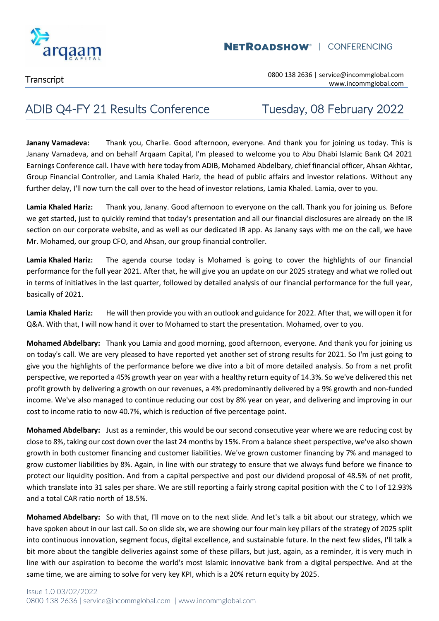

### ADIB Q4-FY 21 Results Conference Tuesday, 08 February 2022

**Janany Vamadeva:** Thank you, Charlie. Good afternoon, everyone. And thank you for joining us today. This is Janany Vamadeva, and on behalf Arqaam Capital, I'm pleased to welcome you to Abu Dhabi Islamic Bank Q4 2021 Earnings Conference call. I have with here today from ADIB, Mohamed Abdelbary, chief financial officer, Ahsan Akhtar, Group Financial Controller, and Lamia Khaled Hariz, the head of public affairs and investor relations. Without any further delay, I'll now turn the call over to the head of investor relations, Lamia Khaled. Lamia, over to you.

**Lamia Khaled Hariz:** Thank you, Janany. Good afternoon to everyone on the call. Thank you for joining us. Before we get started, just to quickly remind that today's presentation and all our financial disclosures are already on the IR section on our corporate website, and as well as our dedicated IR app. As Janany says with me on the call, we have Mr. Mohamed, our group CFO, and Ahsan, our group financial controller.

**Lamia Khaled Hariz:** The agenda course today is Mohamed is going to cover the highlights of our financial performance for the full year 2021. After that, he will give you an update on our 2025 strategy and what we rolled out in terms of initiatives in the last quarter, followed by detailed analysis of our financial performance for the full year, basically of 2021.

**Lamia Khaled Hariz:** He will then provide you with an outlook and guidance for 2022. After that, we will open it for Q&A. With that, I will now hand it over to Mohamed to start the presentation. Mohamed, over to you.

**Mohamed Abdelbary:** Thank you Lamia and good morning, good afternoon, everyone. And thank you for joining us on today's call. We are very pleased to have reported yet another set of strong results for 2021. So I'm just going to give you the highlights of the performance before we dive into a bit of more detailed analysis. So from a net profit perspective, we reported a 45% growth year on year with a healthy return equity of 14.3%. So we've delivered this net profit growth by delivering a growth on our revenues, a 4% predominantly delivered by a 9% growth and non-funded income. We've also managed to continue reducing our cost by 8% year on year, and delivering and improving in our cost to income ratio to now 40.7%, which is reduction of five percentage point.

**Mohamed Abdelbary:** Just as a reminder, this would be our second consecutive year where we are reducing cost by close to 8%, taking our cost down over the last 24 months by 15%. From a balance sheet perspective, we've also shown growth in both customer financing and customer liabilities. We've grown customer financing by 7% and managed to grow customer liabilities by 8%. Again, in line with our strategy to ensure that we always fund before we finance to protect our liquidity position. And from a capital perspective and post our dividend proposal of 48.5% of net profit, which translate into 31 sales per share. We are still reporting a fairly strong capital position with the C to I of 12.93% and a total CAR ratio north of 18.5%.

**Mohamed Abdelbary:** So with that, I'll move on to the next slide. And let's talk a bit about our strategy, which we have spoken about in our last call. So on slide six, we are showing our four main key pillars of the strategy of 2025 split into continuous innovation, segment focus, digital excellence, and sustainable future. In the next few slides, I'll talk a bit more about the tangible deliveries against some of these pillars, but just, again, as a reminder, it is very much in line with our aspiration to become the world's most Islamic innovative bank from a digital perspective. And at the same time, we are aiming to solve for very key KPI, which is a 20% return equity by 2025.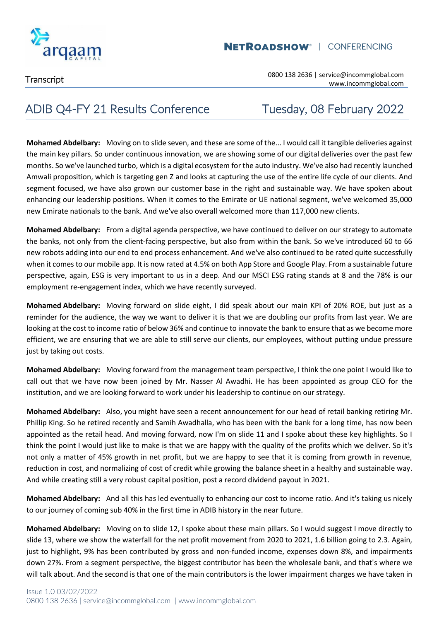

### **NETROADSHOW<sup>®</sup> | CONFERENCING**

Transcript 0800 138 2636 | service@incommglobal.com www.incommglobal.com

## ADIB Q4-FY 21 Results Conference Tuesday, 08 February 2022

**Mohamed Abdelbary:** Moving on to slide seven, and these are some of the... I would call it tangible deliveries against the main key pillars. So under continuous innovation, we are showing some of our digital deliveries over the past few months. So we've launched turbo, which is a digital ecosystem for the auto industry. We've also had recently launched Amwali proposition, which is targeting gen Z and looks at capturing the use of the entire life cycle of our clients. And segment focused, we have also grown our customer base in the right and sustainable way. We have spoken about enhancing our leadership positions. When it comes to the Emirate or UE national segment, we've welcomed 35,000 new Emirate nationals to the bank. And we've also overall welcomed more than 117,000 new clients.

**Mohamed Abdelbary:** From a digital agenda perspective, we have continued to deliver on our strategy to automate the banks, not only from the client-facing perspective, but also from within the bank. So we've introduced 60 to 66 new robots adding into our end to end process enhancement. And we've also continued to be rated quite successfully when it comes to our mobile app. It is now rated at 4.5% on both App Store and Google Play. From a sustainable future perspective, again, ESG is very important to us in a deep. And our MSCI ESG rating stands at 8 and the 78% is our employment re-engagement index, which we have recently surveyed.

**Mohamed Abdelbary:** Moving forward on slide eight, I did speak about our main KPI of 20% ROE, but just as a reminder for the audience, the way we want to deliver it is that we are doubling our profits from last year. We are looking at the cost to income ratio of below 36% and continue to innovate the bank to ensure that as we become more efficient, we are ensuring that we are able to still serve our clients, our employees, without putting undue pressure just by taking out costs.

**Mohamed Abdelbary:** Moving forward from the management team perspective, I think the one point I would like to call out that we have now been joined by Mr. Nasser Al Awadhi. He has been appointed as group CEO for the institution, and we are looking forward to work under his leadership to continue on our strategy.

**Mohamed Abdelbary:** Also, you might have seen a recent announcement for our head of retail banking retiring Mr. Phillip King. So he retired recently and Samih Awadhalla, who has been with the bank for a long time, has now been appointed as the retail head. And moving forward, now I'm on slide 11 and I spoke about these key highlights. So I think the point I would just like to make is that we are happy with the quality of the profits which we deliver. So it's not only a matter of 45% growth in net profit, but we are happy to see that it is coming from growth in revenue, reduction in cost, and normalizing of cost of credit while growing the balance sheet in a healthy and sustainable way. And while creating still a very robust capital position, post a record dividend payout in 2021.

**Mohamed Abdelbary:** And all this has led eventually to enhancing our cost to income ratio. And it's taking us nicely to our journey of coming sub 40% in the first time in ADIB history in the near future.

**Mohamed Abdelbary:** Moving on to slide 12, I spoke about these main pillars. So I would suggest I move directly to slide 13, where we show the waterfall for the net profit movement from 2020 to 2021, 1.6 billion going to 2.3. Again, just to highlight, 9% has been contributed by gross and non-funded income, expenses down 8%, and impairments down 27%. From a segment perspective, the biggest contributor has been the wholesale bank, and that's where we will talk about. And the second is that one of the main contributors is the lower impairment charges we have taken in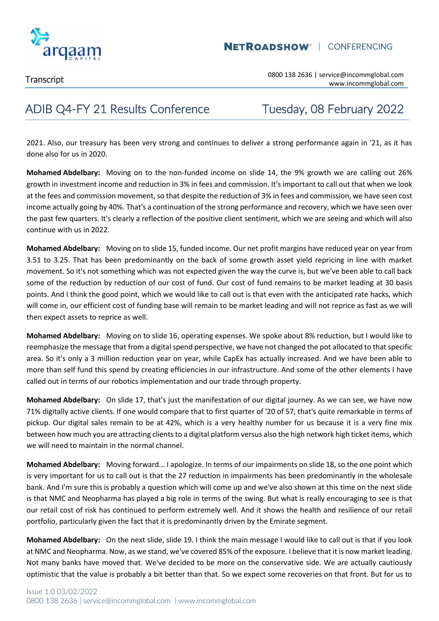

# ADIB Q4-FY 21 Results Conference Tuesday, 08 February 2022

2021. Also, our treasury has been very strong and continues to deliver a strong performance again in '21, as it has done also for us in 2020.

**Mohamed Abdelbary:** Moving on to the non-funded income on slide 14, the 9% growth we are calling out 26% growth in investment income and reduction in 3% in fees and commission. It's important to call out that when we look at the fees and commission movement, so that despite the reduction of 3% in fees and commission, we have seen cost income actually going by 40%. That's a continuation of the strong performance and recovery, which we have seen over the past few quarters. It's clearly a reflection of the positive client sentiment, which we are seeing and which will also continue with us in 2022.

**Mohamed Abdelbary:** Moving on to slide 15, funded income. Our net profit margins have reduced year on year from 3.51 to 3.25. That has been predominantly on the back of some growth asset yield repricing in line with market movement. So it's not something which was not expected given the way the curve is, but we've been able to call back some of the reduction by reduction of our cost of fund. Our cost of fund remains to be market leading at 30 basis points. And I think the good point, which we would like to call out is that even with the anticipated rate hacks, which will come in, our efficient cost of funding base will remain to be market leading and will not reprice as fast as we will then expect assets to reprice as well.

**Mohamed Abdelbary:** Moving on to slide 16, operating expenses. We spoke about 8% reduction, but I would like to reemphasize the message that from a digital spend perspective, we have not changed the pot allocated to that specific area. So it's only a 3 million reduction year on year, while CapEx has actually increased. And we have been able to more than self fund this spend by creating efficiencies in our infrastructure. And some of the other elements I have called out in terms of our robotics implementation and our trade through property.

**Mohamed Abdelbary:** On slide 17, that's just the manifestation of our digital journey. As we can see, we have now 71% digitally active clients. If one would compare that to first quarter of '20 of 57, that's quite remarkable in terms of pickup. Our digital sales remain to be at 42%, which is a very healthy number for us because it is a very fine mix between how much you are attracting clients to a digital platform versus also the high network high ticket items, which we will need to maintain in the normal channel.

**Mohamed Abdelbary:** Moving forward... I apologize. In terms of our impairments on slide 18, so the one point which is very important for us to call out is that the 27 reduction in impairments has been predominantly in the wholesale bank. And I'm sure this is probably a question which will come up and we've also shown at this time on the next slide is that NMC and Neopharma has played a big role in terms of the swing. But what is really encouraging to see is that our retail cost of risk has continued to perform extremely well. And it shows the health and resilience of our retail portfolio, particularly given the fact that it is predominantly driven by the Emirate segment.

**Mohamed Abdelbary:** On the next slide, slide 19. I think the main message I would like to call out is that if you look at NMC and Neopharma. Now, as we stand, we've covered 85% of the exposure. I believe that it is now market leading. Not many banks have moved that. We've decided to be more on the conservative side. We are actually cautiously optimistic that the value is probably a bit better than that. So we expect some recoveries on that front. But for us to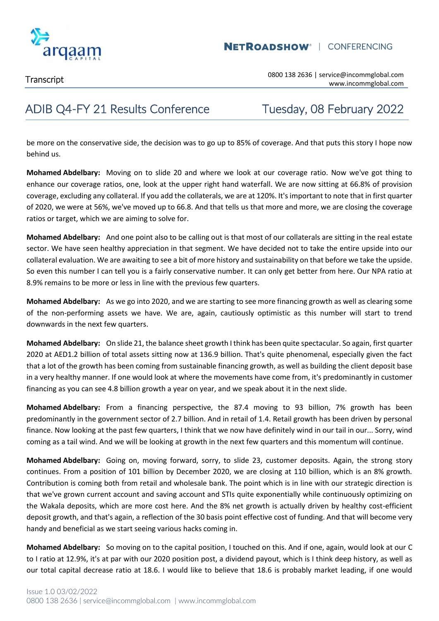

Transcript 0800 138 2636 | service@incommglobal.com www.incommglobal.com

### ADIB Q4-FY 21 Results Conference Tuesday, 08 February 2022

be more on the conservative side, the decision was to go up to 85% of coverage. And that puts this story I hope now behind us.

**Mohamed Abdelbary:** Moving on to slide 20 and where we look at our coverage ratio. Now we've got thing to enhance our coverage ratios, one, look at the upper right hand waterfall. We are now sitting at 66.8% of provision coverage, excluding any collateral. If you add the collaterals, we are at 120%. It's important to note that in first quarter of 2020, we were at 56%, we've moved up to 66.8. And that tells us that more and more, we are closing the coverage ratios or target, which we are aiming to solve for.

**Mohamed Abdelbary:** And one point also to be calling out is that most of our collaterals are sitting in the real estate sector. We have seen healthy appreciation in that segment. We have decided not to take the entire upside into our collateral evaluation. We are awaiting to see a bit of more history and sustainability on that before we take the upside. So even this number I can tell you is a fairly conservative number. It can only get better from here. Our NPA ratio at 8.9% remains to be more or less in line with the previous few quarters.

**Mohamed Abdelbary:** As we go into 2020, and we are starting to see more financing growth as well as clearing some of the non-performing assets we have. We are, again, cautiously optimistic as this number will start to trend downwards in the next few quarters.

**Mohamed Abdelbary:** On slide 21, the balance sheet growth I think has been quite spectacular. So again, first quarter 2020 at AED1.2 billion of total assets sitting now at 136.9 billion. That's quite phenomenal, especially given the fact that a lot of the growth has been coming from sustainable financing growth, as well as building the client deposit base in a very healthy manner. If one would look at where the movements have come from, it's predominantly in customer financing as you can see 4.8 billion growth a year on year, and we speak about it in the next slide.

**Mohamed Abdelbary:** From a financing perspective, the 87.4 moving to 93 billion, 7% growth has been predominantly in the government sector of 2.7 billion. And in retail of 1.4. Retail growth has been driven by personal finance. Now looking at the past few quarters, I think that we now have definitely wind in our tail in our... Sorry, wind coming as a tail wind. And we will be looking at growth in the next few quarters and this momentum will continue.

**Mohamed Abdelbary:** Going on, moving forward, sorry, to slide 23, customer deposits. Again, the strong story continues. From a position of 101 billion by December 2020, we are closing at 110 billion, which is an 8% growth. Contribution is coming both from retail and wholesale bank. The point which is in line with our strategic direction is that we've grown current account and saving account and STIs quite exponentially while continuously optimizing on the Wakala deposits, which are more cost here. And the 8% net growth is actually driven by healthy cost-efficient deposit growth, and that's again, a reflection of the 30 basis point effective cost of funding. And that will become very handy and beneficial as we start seeing various hacks coming in.

**Mohamed Abdelbary:** So moving on to the capital position, I touched on this. And if one, again, would look at our C to I ratio at 12.9%, it's at par with our 2020 position post, a dividend payout, which is I think deep history, as well as our total capital decrease ratio at 18.6. I would like to believe that 18.6 is probably market leading, if one would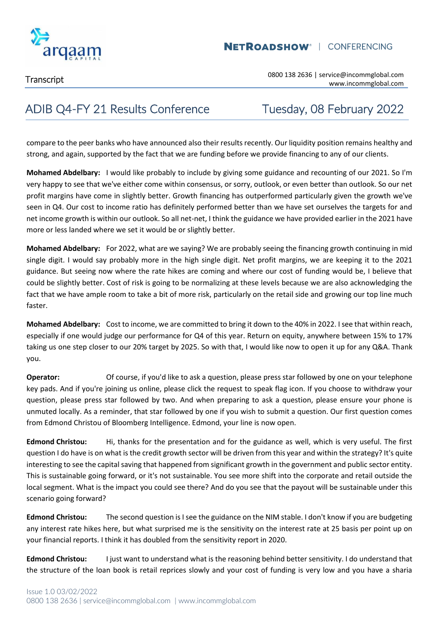

# ADIB Q4-FY 21 Results Conference Tuesday, 08 February 2022

compare to the peer banks who have announced also their results recently. Our liquidity position remains healthy and strong, and again, supported by the fact that we are funding before we provide financing to any of our clients.

**Mohamed Abdelbary:** I would like probably to include by giving some guidance and recounting of our 2021. So I'm very happy to see that we've either come within consensus, or sorry, outlook, or even better than outlook. So our net profit margins have come in slightly better. Growth financing has outperformed particularly given the growth we've seen in Q4. Our cost to income ratio has definitely performed better than we have set ourselves the targets for and net income growth is within our outlook. So all net-net, I think the guidance we have provided earlier in the 2021 have more or less landed where we set it would be or slightly better.

**Mohamed Abdelbary:** For 2022, what are we saying? We are probably seeing the financing growth continuing in mid single digit. I would say probably more in the high single digit. Net profit margins, we are keeping it to the 2021 guidance. But seeing now where the rate hikes are coming and where our cost of funding would be, I believe that could be slightly better. Cost of risk is going to be normalizing at these levels because we are also acknowledging the fact that we have ample room to take a bit of more risk, particularly on the retail side and growing our top line much faster.

**Mohamed Abdelbary:** Cost to income, we are committed to bring it down to the 40% in 2022. I see that within reach, especially if one would judge our performance for Q4 of this year. Return on equity, anywhere between 15% to 17% taking us one step closer to our 20% target by 2025. So with that, I would like now to open it up for any Q&A. Thank you.

**Operator:** Of course, if you'd like to ask a question, please press star followed by one on your telephone key pads. And if you're joining us online, please click the request to speak flag icon. If you choose to withdraw your question, please press star followed by two. And when preparing to ask a question, please ensure your phone is unmuted locally. As a reminder, that star followed by one if you wish to submit a question. Our first question comes from Edmond Christou of Bloomberg Intelligence. Edmond, your line is now open.

**Edmond Christou:** Hi, thanks for the presentation and for the guidance as well, which is very useful. The first question I do have is on what is the credit growth sector will be driven from this year and within the strategy? It's quite interesting to see the capital saving that happened from significant growth in the government and public sector entity. This is sustainable going forward, or it's not sustainable. You see more shift into the corporate and retail outside the local segment. What is the impact you could see there? And do you see that the payout will be sustainable under this scenario going forward?

**Edmond Christou:** The second question is I see the guidance on the NIM stable. I don't know if you are budgeting any interest rate hikes here, but what surprised me is the sensitivity on the interest rate at 25 basis per point up on your financial reports. I think it has doubled from the sensitivity report in 2020.

**Edmond Christou:** I just want to understand what is the reasoning behind better sensitivity. I do understand that the structure of the loan book is retail reprices slowly and your cost of funding is very low and you have a sharia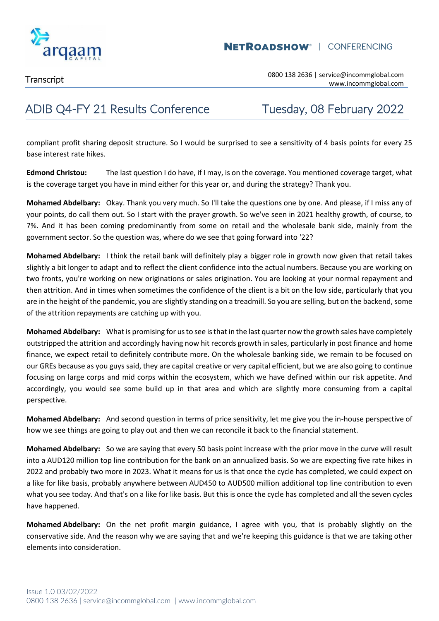

## ADIB Q4-FY 21 Results Conference Tuesday, 08 February 2022

compliant profit sharing deposit structure. So I would be surprised to see a sensitivity of 4 basis points for every 25 base interest rate hikes.

**Edmond Christou:** The last question I do have, if I may, is on the coverage. You mentioned coverage target, what is the coverage target you have in mind either for this year or, and during the strategy? Thank you.

**Mohamed Abdelbary:** Okay. Thank you very much. So I'll take the questions one by one. And please, if I miss any of your points, do call them out. So I start with the prayer growth. So we've seen in 2021 healthy growth, of course, to 7%. And it has been coming predominantly from some on retail and the wholesale bank side, mainly from the government sector. So the question was, where do we see that going forward into '22?

**Mohamed Abdelbary:** I think the retail bank will definitely play a bigger role in growth now given that retail takes slightly a bit longer to adapt and to reflect the client confidence into the actual numbers. Because you are working on two fronts, you're working on new originations or sales origination. You are looking at your normal repayment and then attrition. And in times when sometimes the confidence of the client is a bit on the low side, particularly that you are in the height of the pandemic, you are slightly standing on a treadmill. So you are selling, but on the backend, some of the attrition repayments are catching up with you.

**Mohamed Abdelbary:** What is promising for us to see is that in the last quarter now the growth sales have completely outstripped the attrition and accordingly having now hit records growth in sales, particularly in post finance and home finance, we expect retail to definitely contribute more. On the wholesale banking side, we remain to be focused on our GREs because as you guys said, they are capital creative or very capital efficient, but we are also going to continue focusing on large corps and mid corps within the ecosystem, which we have defined within our risk appetite. And accordingly, you would see some build up in that area and which are slightly more consuming from a capital perspective.

**Mohamed Abdelbary:** And second question in terms of price sensitivity, let me give you the in-house perspective of how we see things are going to play out and then we can reconcile it back to the financial statement.

**Mohamed Abdelbary:** So we are saying that every 50 basis point increase with the prior move in the curve will result into a AUD120 million top line contribution for the bank on an annualized basis. So we are expecting five rate hikes in 2022 and probably two more in 2023. What it means for us is that once the cycle has completed, we could expect on a like for like basis, probably anywhere between AUD450 to AUD500 million additional top line contribution to even what you see today. And that's on a like for like basis. But this is once the cycle has completed and all the seven cycles have happened.

**Mohamed Abdelbary:** On the net profit margin guidance, I agree with you, that is probably slightly on the conservative side. And the reason why we are saying that and we're keeping this guidance is that we are taking other elements into consideration.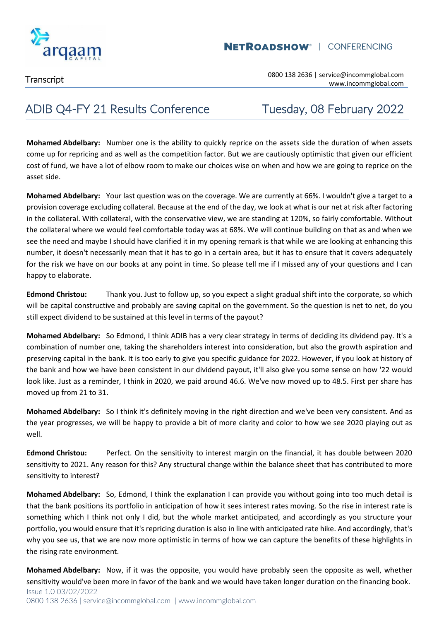

Transcript 0800 138 2636 | service@incommglobal.com www.incommglobal.com

### ADIB Q4-FY 21 Results Conference Tuesday, 08 February 2022

**Mohamed Abdelbary:** Number one is the ability to quickly reprice on the assets side the duration of when assets come up for repricing and as well as the competition factor. But we are cautiously optimistic that given our efficient cost of fund, we have a lot of elbow room to make our choices wise on when and how we are going to reprice on the asset side.

**Mohamed Abdelbary:** Your last question was on the coverage. We are currently at 66%. I wouldn't give a target to a provision coverage excluding collateral. Because at the end of the day, we look at what is our net at risk after factoring in the collateral. With collateral, with the conservative view, we are standing at 120%, so fairly comfortable. Without the collateral where we would feel comfortable today was at 68%. We will continue building on that as and when we see the need and maybe I should have clarified it in my opening remark is that while we are looking at enhancing this number, it doesn't necessarily mean that it has to go in a certain area, but it has to ensure that it covers adequately for the risk we have on our books at any point in time. So please tell me if I missed any of your questions and I can happy to elaborate.

**Edmond Christou:** Thank you. Just to follow up, so you expect a slight gradual shift into the corporate, so which will be capital constructive and probably are saving capital on the government. So the question is net to net, do you still expect dividend to be sustained at this level in terms of the payout?

**Mohamed Abdelbary:** So Edmond, I think ADIB has a very clear strategy in terms of deciding its dividend pay. It's a combination of number one, taking the shareholders interest into consideration, but also the growth aspiration and preserving capital in the bank. It is too early to give you specific guidance for 2022. However, if you look at history of the bank and how we have been consistent in our dividend payout, it'll also give you some sense on how '22 would look like. Just as a reminder, I think in 2020, we paid around 46.6. We've now moved up to 48.5. First per share has moved up from 21 to 31.

**Mohamed Abdelbary:** So I think it's definitely moving in the right direction and we've been very consistent. And as the year progresses, we will be happy to provide a bit of more clarity and color to how we see 2020 playing out as well.

**Edmond Christou:** Perfect. On the sensitivity to interest margin on the financial, it has double between 2020 sensitivity to 2021. Any reason for this? Any structural change within the balance sheet that has contributed to more sensitivity to interest?

**Mohamed Abdelbary:** So, Edmond, I think the explanation I can provide you without going into too much detail is that the bank positions its portfolio in anticipation of how it sees interest rates moving. So the rise in interest rate is something which I think not only I did, but the whole market anticipated, and accordingly as you structure your portfolio, you would ensure that it's repricing duration is also in line with anticipated rate hike. And accordingly, that's why you see us, that we are now more optimistic in terms of how we can capture the benefits of these highlights in the rising rate environment.

Issue 1.0 03/02/2022 0800 138 2636 | service@incommglobal.com | www.incommglobal.com **Mohamed Abdelbary:** Now, if it was the opposite, you would have probably seen the opposite as well, whether sensitivity would've been more in favor of the bank and we would have taken longer duration on the financing book.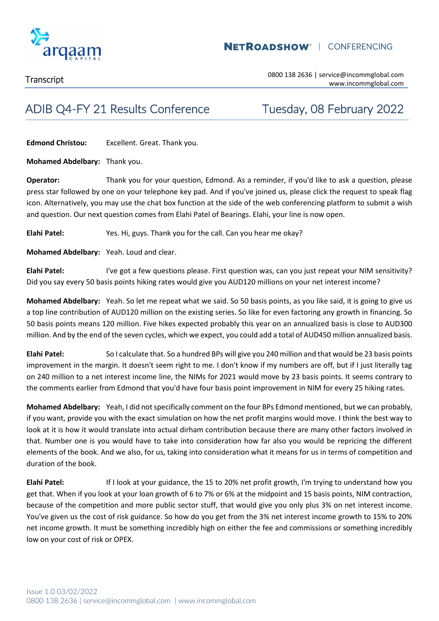

## ADIB Q4-FY 21 Results Conference Tuesday, 08 February 2022

**Edmond Christou:** Excellent. Great. Thank you.

**Mohamed Abdelbary:** Thank you.

**Operator:** Thank you for your question, Edmond. As a reminder, if you'd like to ask a question, please press star followed by one on your telephone key pad. And if you've joined us, please click the request to speak flag icon. Alternatively, you may use the chat box function at the side of the web conferencing platform to submit a wish and question. Our next question comes from Elahi Patel of Bearings. Elahi, your line is now open.

**Elahi Patel:** Yes. Hi, guys. Thank you for the call. Can you hear me okay?

**Mohamed Abdelbary:** Yeah. Loud and clear.

**Elahi Patel:** I've got a few questions please. First question was, can you just repeat your NIM sensitivity? Did you say every 50 basis points hiking rates would give you AUD120 millions on your net interest income?

**Mohamed Abdelbary:** Yeah. So let me repeat what we said. So 50 basis points, as you like said, it is going to give us a top line contribution of AUD120 million on the existing series. So like for even factoring any growth in financing. So 50 basis points means 120 million. Five hikes expected probably this year on an annualized basis is close to AUD300 million. And by the end of the seven cycles, which we expect, you could add a total of AUD450 million annualized basis.

**Elahi Patel:** So I calculate that. So a hundred BPs will give you 240 million and that would be 23 basis points improvement in the margin. It doesn't seem right to me. I don't know if my numbers are off, but if I just literally tag on 240 million to a net interest income line, the NIMs for 2021 would move by 23 basis points. It seems contrary to the comments earlier from Edmond that you'd have four basis point improvement in NIM for every 25 hiking rates.

**Mohamed Abdelbary:** Yeah, I did not specifically comment on the four BPs Edmond mentioned, but we can probably, if you want, provide you with the exact simulation on how the net profit margins would move. I think the best way to look at it is how it would translate into actual dirham contribution because there are many other factors involved in that. Number one is you would have to take into consideration how far also you would be repricing the different elements of the book. And we also, for us, taking into consideration what it means for us in terms of competition and duration of the book.

**Elahi Patel:** If I look at your guidance, the 15 to 20% net profit growth, I'm trying to understand how you get that. When if you look at your loan growth of 6 to 7% or 6% at the midpoint and 15 basis points, NIM contraction, because of the competition and more public sector stuff, that would give you only plus 3% on net interest income. You've given us the cost of risk guidance. So how do you get from the 3% net interest income growth to 15% to 20% net income growth. It must be something incredibly high on either the fee and commissions or something incredibly low on your cost of risk or OPEX.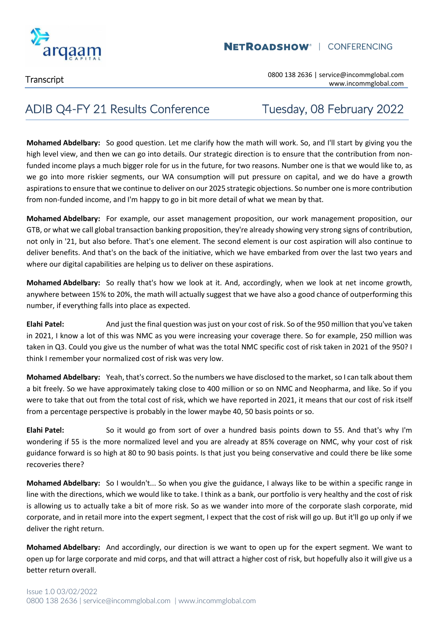

### **NETROADSHOW<sup>®</sup> | CONFERENCING**

Transcript 0800 138 2636 | service@incommglobal.com www.incommglobal.com

### ADIB Q4-FY 21 Results Conference Tuesday, 08 February 2022

**Mohamed Abdelbary:** So good question. Let me clarify how the math will work. So, and I'll start by giving you the high level view, and then we can go into details. Our strategic direction is to ensure that the contribution from nonfunded income plays a much bigger role for us in the future, for two reasons. Number one is that we would like to, as we go into more riskier segments, our WA consumption will put pressure on capital, and we do have a growth aspirations to ensure that we continue to deliver on our 2025 strategic objections. So number one is more contribution from non-funded income, and I'm happy to go in bit more detail of what we mean by that.

**Mohamed Abdelbary:** For example, our asset management proposition, our work management proposition, our GTB, or what we call global transaction banking proposition, they're already showing very strong signs of contribution, not only in '21, but also before. That's one element. The second element is our cost aspiration will also continue to deliver benefits. And that's on the back of the initiative, which we have embarked from over the last two years and where our digital capabilities are helping us to deliver on these aspirations.

**Mohamed Abdelbary:** So really that's how we look at it. And, accordingly, when we look at net income growth, anywhere between 15% to 20%, the math will actually suggest that we have also a good chance of outperforming this number, if everything falls into place as expected.

**Elahi Patel:** And just the final question was just on your cost of risk. So of the 950 million that you've taken in 2021, I know a lot of this was NMC as you were increasing your coverage there. So for example, 250 million was taken in Q3. Could you give us the number of what was the total NMC specific cost of risk taken in 2021 of the 950? I think I remember your normalized cost of risk was very low.

**Mohamed Abdelbary:** Yeah, that's correct. So the numbers we have disclosed to the market, so I can talk about them a bit freely. So we have approximately taking close to 400 million or so on NMC and Neopharma, and like. So if you were to take that out from the total cost of risk, which we have reported in 2021, it means that our cost of risk itself from a percentage perspective is probably in the lower maybe 40, 50 basis points or so.

**Elahi Patel:** So it would go from sort of over a hundred basis points down to 55. And that's why I'm wondering if 55 is the more normalized level and you are already at 85% coverage on NMC, why your cost of risk guidance forward is so high at 80 to 90 basis points. Is that just you being conservative and could there be like some recoveries there?

**Mohamed Abdelbary:** So I wouldn't... So when you give the guidance, I always like to be within a specific range in line with the directions, which we would like to take. I think as a bank, our portfolio is very healthy and the cost of risk is allowing us to actually take a bit of more risk. So as we wander into more of the corporate slash corporate, mid corporate, and in retail more into the expert segment, I expect that the cost of risk will go up. But it'll go up only if we deliver the right return.

**Mohamed Abdelbary:** And accordingly, our direction is we want to open up for the expert segment. We want to open up for large corporate and mid corps, and that will attract a higher cost of risk, but hopefully also it will give us a better return overall.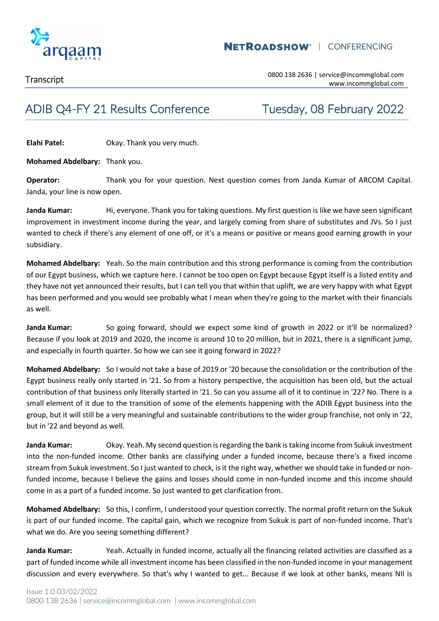

### **NETROADSHOW<sup>®</sup> | CONFERENCING**

## ADIB Q4-FY 21 Results Conference Tuesday, 08 February 2022

**Elahi Patel:** Okay. Thank you very much.

**Mohamed Abdelbary:** Thank you.

**Operator:** Thank you for your question. Next question comes from Janda Kumar of ARCOM Capital. Janda, your line is now open.

Janda Kumar: Hi, everyone. Thank you for taking questions. My first question is like we have seen significant improvement in investment income during the year, and largely coming from share of substitutes and JVs. So I just wanted to check if there's any element of one off, or it's a means or positive or means good earning growth in your subsidiary.

**Mohamed Abdelbary:** Yeah. So the main contribution and this strong performance is coming from the contribution of our Egypt business, which we capture here. I cannot be too open on Egypt because Egypt itself is a listed entity and they have not yet announced their results, but I can tell you that within that uplift, we are very happy with what Egypt has been performed and you would see probably what I mean when they're going to the market with their financials as well.

**Janda Kumar:** So going forward, should we expect some kind of growth in 2022 or it'll be normalized? Because if you look at 2019 and 2020, the income is around 10 to 20 million, but in 2021, there is a significant jump, and especially in fourth quarter. So how we can see it going forward in 2022?

**Mohamed Abdelbary:** So I would not take a base of 2019 or '20 because the consolidation or the contribution of the Egypt business really only started in '21. So from a history perspective, the acquisition has been old, but the actual contribution of that business only literally started in '21. So can you assume all of it to continue in '22? No. There is a small element of it due to the transition of some of the elements happening with the ADIB Egypt business into the group, but it will still be a very meaningful and sustainable contributions to the wider group franchise, not only in '22, but in '22 and beyond as well.

**Janda Kumar:** Okay. Yeah. My second question is regarding the bank is taking income from Sukuk investment into the non-funded income. Other banks are classifying under a funded income, because there's a fixed income stream from Sukuk investment. So I just wanted to check, is it the right way, whether we should take in funded or nonfunded income, because I believe the gains and losses should come in non-funded income and this income should come in as a part of a funded income. So just wanted to get clarification from.

**Mohamed Abdelbary:** So this, I confirm, I understood your question correctly. The normal profit return on the Sukuk is part of our funded income. The capital gain, which we recognize from Sukuk is part of non-funded income. That's what we do. Are you seeing something different?

**Janda Kumar:** Yeah. Actually in funded income, actually all the financing related activities are classified as a part of funded income while all investment income has been classified in the non-funded income in your management discussion and every everywhere. So that's why I wanted to get... Because if we look at other banks, means NII is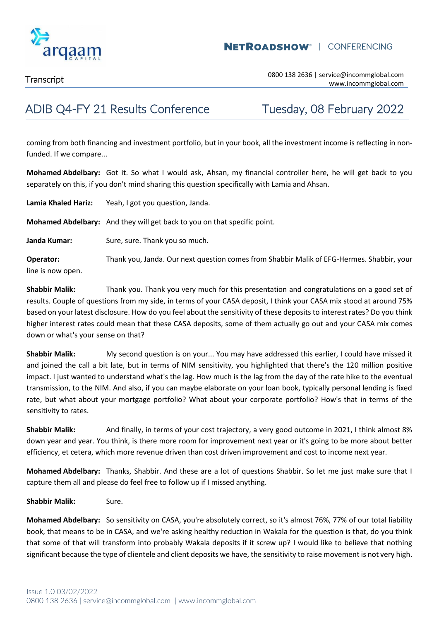

## ADIB Q4-FY 21 Results Conference Tuesday, 08 February 2022

coming from both financing and investment portfolio, but in your book, all the investment income is reflecting in nonfunded. If we compare...

**Mohamed Abdelbary:** Got it. So what I would ask, Ahsan, my financial controller here, he will get back to you separately on this, if you don't mind sharing this question specifically with Lamia and Ahsan.

| Lamia Khaled Hariz:            | Yeah, I got you question, Janda.                                                          |
|--------------------------------|-------------------------------------------------------------------------------------------|
|                                | Mohamed Abdelbary: And they will get back to you on that specific point.                  |
| Janda Kumar:                   | Sure, sure. Thank you so much.                                                            |
| Operator:<br>line is now open. | Thank you, Janda. Our next question comes from Shabbir Malik of EFG-Hermes. Shabbir, your |

**Shabbir Malik:** Thank you. Thank you very much for this presentation and congratulations on a good set of results. Couple of questions from my side, in terms of your CASA deposit, I think your CASA mix stood at around 75% based on your latest disclosure. How do you feel about the sensitivity of these deposits to interest rates? Do you think higher interest rates could mean that these CASA deposits, some of them actually go out and your CASA mix comes down or what's your sense on that?

**Shabbir Malik:** My second question is on your... You may have addressed this earlier, I could have missed it and joined the call a bit late, but in terms of NIM sensitivity, you highlighted that there's the 120 million positive impact. I just wanted to understand what's the lag. How much is the lag from the day of the rate hike to the eventual transmission, to the NIM. And also, if you can maybe elaborate on your loan book, typically personal lending is fixed rate, but what about your mortgage portfolio? What about your corporate portfolio? How's that in terms of the sensitivity to rates.

**Shabbir Malik:** And finally, in terms of your cost trajectory, a very good outcome in 2021, I think almost 8% down year and year. You think, is there more room for improvement next year or it's going to be more about better efficiency, et cetera, which more revenue driven than cost driven improvement and cost to income next year.

**Mohamed Abdelbary:** Thanks, Shabbir. And these are a lot of questions Shabbir. So let me just make sure that I capture them all and please do feel free to follow up if I missed anything.

**Shabbir Malik:** Sure.

**Mohamed Abdelbary:** So sensitivity on CASA, you're absolutely correct, so it's almost 76%, 77% of our total liability book, that means to be in CASA, and we're asking healthy reduction in Wakala for the question is that, do you think that some of that will transform into probably Wakala deposits if it screw up? I would like to believe that nothing significant because the type of clientele and client deposits we have, the sensitivity to raise movement is not very high.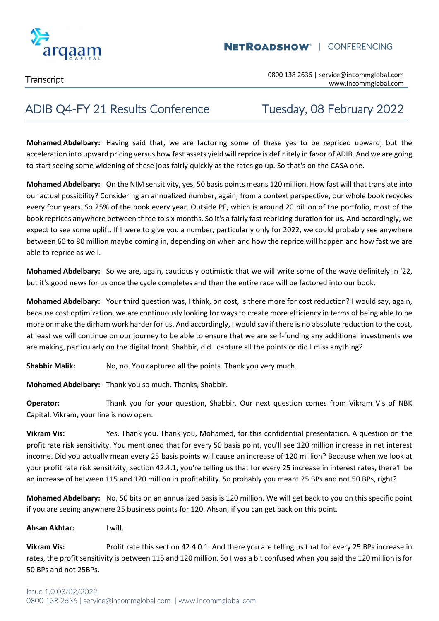

## ADIB Q4-FY 21 Results Conference Tuesday, 08 February 2022

**Mohamed Abdelbary:** Having said that, we are factoring some of these yes to be repriced upward, but the acceleration into upward pricing versus how fast assets yield will reprice is definitely in favor of ADIB. And we are going to start seeing some widening of these jobs fairly quickly as the rates go up. So that's on the CASA one.

**Mohamed Abdelbary:** On the NIM sensitivity, yes, 50 basis points means 120 million. How fast will that translate into our actual possibility? Considering an annualized number, again, from a context perspective, our whole book recycles every four years. So 25% of the book every year. Outside PF, which is around 20 billion of the portfolio, most of the book reprices anywhere between three to six months. So it's a fairly fast repricing duration for us. And accordingly, we expect to see some uplift. If I were to give you a number, particularly only for 2022, we could probably see anywhere between 60 to 80 million maybe coming in, depending on when and how the reprice will happen and how fast we are able to reprice as well.

**Mohamed Abdelbary:** So we are, again, cautiously optimistic that we will write some of the wave definitely in '22, but it's good news for us once the cycle completes and then the entire race will be factored into our book.

**Mohamed Abdelbary:** Your third question was, I think, on cost, is there more for cost reduction? I would say, again, because cost optimization, we are continuously looking for ways to create more efficiency in terms of being able to be more or make the dirham work harder for us. And accordingly, I would say if there is no absolute reduction to the cost, at least we will continue on our journey to be able to ensure that we are self-funding any additional investments we are making, particularly on the digital front. Shabbir, did I capture all the points or did I miss anything?

**Shabbir Malik:** No, no. You captured all the points. Thank you very much.

**Mohamed Abdelbary:** Thank you so much. Thanks, Shabbir.

**Operator:** Thank you for your question, Shabbir. Our next question comes from Vikram Vis of NBK Capital. Vikram, your line is now open.

**Vikram Vis:** Yes. Thank you. Thank you, Mohamed, for this confidential presentation. A question on the profit rate risk sensitivity. You mentioned that for every 50 basis point, you'll see 120 million increase in net interest income. Did you actually mean every 25 basis points will cause an increase of 120 million? Because when we look at your profit rate risk sensitivity, section 42.4.1, you're telling us that for every 25 increase in interest rates, there'll be an increase of between 115 and 120 million in profitability. So probably you meant 25 BPs and not 50 BPs, right?

**Mohamed Abdelbary:** No, 50 bits on an annualized basis is 120 million. We will get back to you on this specific point if you are seeing anywhere 25 business points for 120. Ahsan, if you can get back on this point.

### **Ahsan Akhtar:** I will.

**Vikram Vis:** Profit rate this section 42.4 0.1. And there you are telling us that for every 25 BPs increase in rates, the profit sensitivity is between 115 and 120 million. So I was a bit confused when you said the 120 million is for 50 BPs and not 25BPs.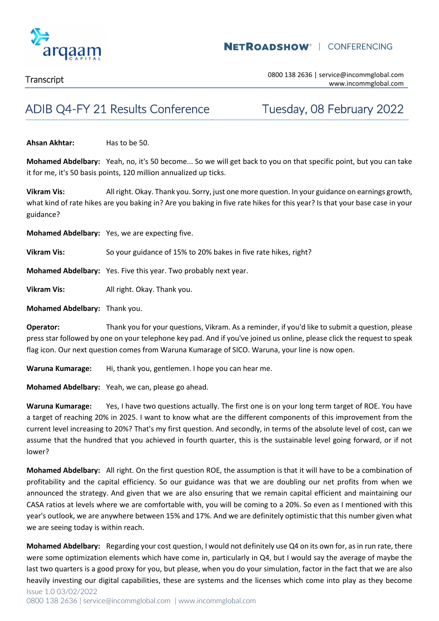

## ADIB Q4-FY 21 Results Conference Tuesday, 08 February 2022

**Ahsan Akhtar:** Has to be 50.

**Mohamed Abdelbary:** Yeah, no, it's 50 become... So we will get back to you on that specific point, but you can take it for me, it's 50 basis points, 120 million annualized up ticks.

**Vikram Vis:** All right. Okay. Thank you. Sorry, just one more question. In your guidance on earnings growth, what kind of rate hikes are you baking in? Are you baking in five rate hikes for this year? Is that your base case in your guidance?

**Mohamed Abdelbary:** Yes, we are expecting five.

**Vikram Vis:** So your guidance of 15% to 20% bakes in five rate hikes, right?

**Mohamed Abdelbary:** Yes. Five this year. Two probably next year.

**Vikram Vis:** All right. Okay. Thank you.

**Mohamed Abdelbary:** Thank you.

**Operator:** Thank you for your questions, Vikram. As a reminder, if you'd like to submit a question, please press star followed by one on your telephone key pad. And if you've joined us online, please click the request to speak flag icon. Our next question comes from Waruna Kumarage of SICO. Waruna, your line is now open.

**Waruna Kumarage:** Hi, thank you, gentlemen. I hope you can hear me.

**Mohamed Abdelbary:** Yeah, we can, please go ahead.

**Waruna Kumarage:** Yes, I have two questions actually. The first one is on your long term target of ROE. You have a target of reaching 20% in 2025. I want to know what are the different components of this improvement from the current level increasing to 20%? That's my first question. And secondly, in terms of the absolute level of cost, can we assume that the hundred that you achieved in fourth quarter, this is the sustainable level going forward, or if not lower?

**Mohamed Abdelbary:** All right. On the first question ROE, the assumption is that it will have to be a combination of profitability and the capital efficiency. So our guidance was that we are doubling our net profits from when we announced the strategy. And given that we are also ensuring that we remain capital efficient and maintaining our CASA ratios at levels where we are comfortable with, you will be coming to a 20%. So even as I mentioned with this year's outlook, we are anywhere between 15% and 17%. And we are definitely optimistic that this number given what we are seeing today is within reach.

**Mohamed Abdelbary:** Regarding your cost question, I would not definitely use Q4 on its own for, as in run rate, there were some optimization elements which have come in, particularly in Q4, but I would say the average of maybe the last two quarters is a good proxy for you, but please, when you do your simulation, factor in the fact that we are also heavily investing our digital capabilities, these are systems and the licenses which come into play as they become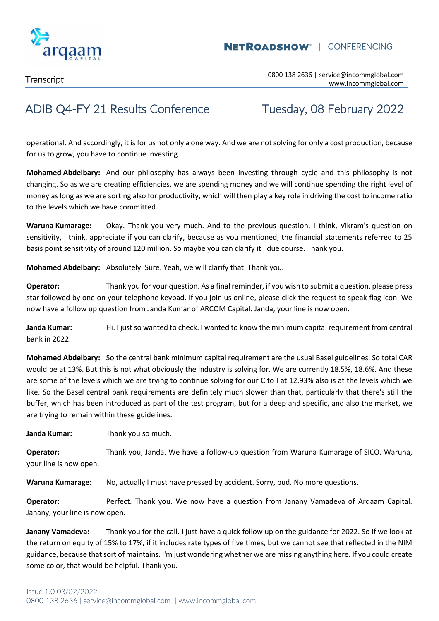

## ADIB Q4-FY 21 Results Conference Tuesday, 08 February 2022

operational. And accordingly, it is for us not only a one way. And we are not solving for only a cost production, because for us to grow, you have to continue investing.

**Mohamed Abdelbary:** And our philosophy has always been investing through cycle and this philosophy is not changing. So as we are creating efficiencies, we are spending money and we will continue spending the right level of money as long as we are sorting also for productivity, which will then play a key role in driving the cost to income ratio to the levels which we have committed.

**Waruna Kumarage:** Okay. Thank you very much. And to the previous question, I think, Vikram's question on sensitivity, I think, appreciate if you can clarify, because as you mentioned, the financial statements referred to 25 basis point sensitivity of around 120 million. So maybe you can clarify it I due course. Thank you.

**Mohamed Abdelbary:** Absolutely. Sure. Yeah, we will clarify that. Thank you.

**Operator:** Thank you for your question. As a final reminder, if you wish to submit a question, please press star followed by one on your telephone keypad. If you join us online, please click the request to speak flag icon. We now have a follow up question from Janda Kumar of ARCOM Capital. Janda, your line is now open.

**Janda Kumar:** Hi. I just so wanted to check. I wanted to know the minimum capital requirement from central bank in 2022.

**Mohamed Abdelbary:** So the central bank minimum capital requirement are the usual Basel guidelines. So total CAR would be at 13%. But this is not what obviously the industry is solving for. We are currently 18.5%, 18.6%. And these are some of the levels which we are trying to continue solving for our C to I at 12.93% also is at the levels which we like. So the Basel central bank requirements are definitely much slower than that, particularly that there's still the buffer, which has been introduced as part of the test program, but for a deep and specific, and also the market, we are trying to remain within these guidelines.

**Janda Kumar:** Thank you so much.

**Operator:** Thank you, Janda. We have a follow-up question from Waruna Kumarage of SICO. Waruna, your line is now open.

**Waruna Kumarage:** No, actually I must have pressed by accident. Sorry, bud. No more questions.

**Operator:** Perfect. Thank you. We now have a question from Janany Vamadeva of Arqaam Capital. Janany, your line is now open.

**Janany Vamadeva:** Thank you for the call. I just have a quick follow up on the guidance for 2022. So if we look at the return on equity of 15% to 17%, if it includes rate types of five times, but we cannot see that reflected in the NIM guidance, because that sort of maintains. I'm just wondering whether we are missing anything here. If you could create some color, that would be helpful. Thank you.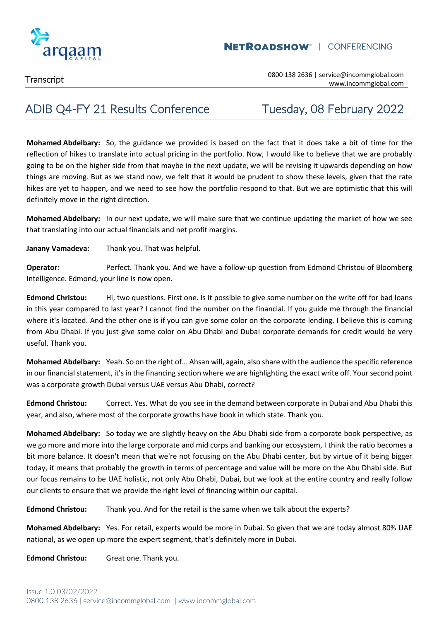

Transcript 0800 138 2636 | service@incommglobal.com www.incommglobal.com

### ADIB Q4-FY 21 Results Conference Tuesday, 08 February 2022

**Mohamed Abdelbary:** So, the guidance we provided is based on the fact that it does take a bit of time for the reflection of hikes to translate into actual pricing in the portfolio. Now, I would like to believe that we are probably going to be on the higher side from that maybe in the next update, we will be revising it upwards depending on how things are moving. But as we stand now, we felt that it would be prudent to show these levels, given that the rate hikes are yet to happen, and we need to see how the portfolio respond to that. But we are optimistic that this will definitely move in the right direction.

**Mohamed Abdelbary:** In our next update, we will make sure that we continue updating the market of how we see that translating into our actual financials and net profit margins.

**Janany Vamadeva:** Thank you. That was helpful.

**Operator:** Perfect. Thank you. And we have a follow-up question from Edmond Christou of Bloomberg Intelligence. Edmond, your line is now open.

**Edmond Christou:** Hi, two questions. First one. Is it possible to give some number on the write off for bad loans in this year compared to last year? I cannot find the number on the financial. If you guide me through the financial where it's located. And the other one is if you can give some color on the corporate lending. I believe this is coming from Abu Dhabi. If you just give some color on Abu Dhabi and Dubai corporate demands for credit would be very useful. Thank you.

**Mohamed Abdelbary:** Yeah. So on the right of... Ahsan will, again, also share with the audience the specific reference in our financial statement, it's in the financing section where we are highlighting the exact write off. Your second point was a corporate growth Dubai versus UAE versus Abu Dhabi, correct?

**Edmond Christou:** Correct. Yes. What do you see in the demand between corporate in Dubai and Abu Dhabi this year, and also, where most of the corporate growths have book in which state. Thank you.

**Mohamed Abdelbary:** So today we are slightly heavy on the Abu Dhabi side from a corporate book perspective, as we go more and more into the large corporate and mid corps and banking our ecosystem, I think the ratio becomes a bit more balance. It doesn't mean that we're not focusing on the Abu Dhabi center, but by virtue of it being bigger today, it means that probably the growth in terms of percentage and value will be more on the Abu Dhabi side. But our focus remains to be UAE holistic, not only Abu Dhabi, Dubai, but we look at the entire country and really follow our clients to ensure that we provide the right level of financing within our capital.

**Edmond Christou:** Thank you. And for the retail is the same when we talk about the experts?

**Mohamed Abdelbary:** Yes. For retail, experts would be more in Dubai. So given that we are today almost 80% UAE national, as we open up more the expert segment, that's definitely more in Dubai.

**Edmond Christou:** Great one. Thank you.